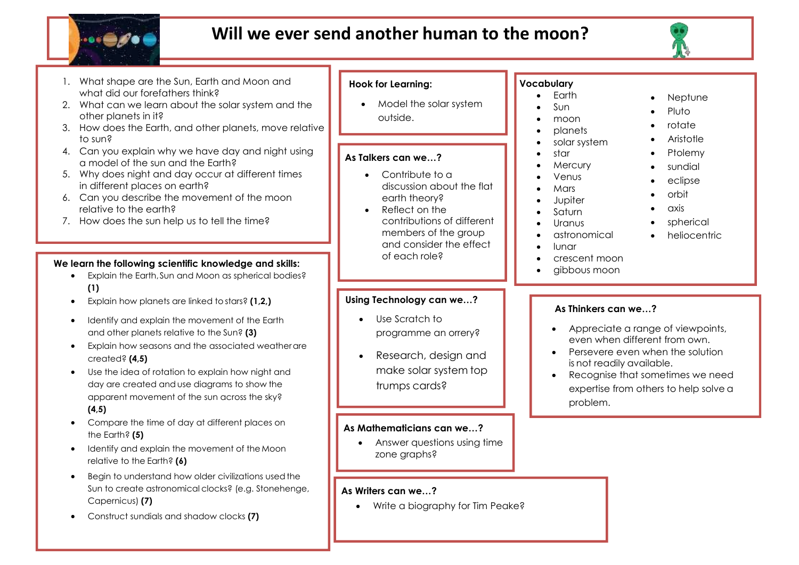

# **Will we ever send another human to the moon?**

outside.



- astronomical
- lunar
- crescent moon
- gibbous moon

# **Using Technology can we…?**

of each role?

Į

members of the group and consider the effect

- Use Scratch to programme an orrery?
- Research, design and make solar system top trumps cards?

#### **As Mathematicians can we…?**

 Answer questions using time zone graphs?

#### **As Writers can we…?**

• Write a biography for Tim Peake?

- 
- 
- 
- 
- 

# **As Thinkers can we…?**

• Appreciate a range of viewpoints, even when different from own.

heliocentric

- Persevere even when the solution is not readily available.
- Recognise that sometimes we need expertise from others to help solve a problem.

#### 1. What shape are the Sun, Earth and Moon and what did our forefathers think? 2. What can we learn about the solar system and the

- other planets in it?
- 3. How does the Earth, and other planets, move relative to sun?
- 4. Can you explain why we have day and night using a model of the sun and the Earth?
- 5. Why does night and day occur at different times in different places on earth?
- 6. Can you describe the movement of the moon relative to the earth?
- 7. How does the sun help us to tell the time?

# **We learn the following scientific knowledge and skills:**

- Explain the Earth,Sun and Moon as spherical bodies? **(1)**
- Explain how planets are linked to stars? **(1,2,)**
- Identify and explain the movement of the Earth and other planets relative to the Sun? **(3)**
- Explain how seasons and the associated weatherare created? **(4,5)**
- Use the idea of rotation to explain how night and day are created and use diagrams to show the apparent movement of the sun across the sky? **(4,5)**
- Compare the time of day at different places on the Earth? **(5)**
- Identify and explain the movement of the Moon relative to the Earth? **(6)**
- Begin to understand how older civilizations usedthe Sun to create astronomical clocks? (e.g. Stonehenge, Capernicus) **(7)**
- Construct sundials and shadow clocks **(7)**